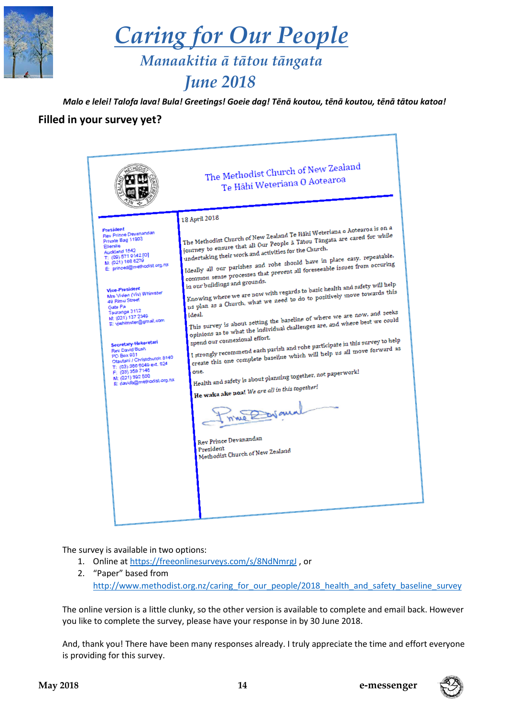

 *Caring for Our People Manaakitia ā tātou tāngata*

# *June 2018*

*Malo e lelei! Talofa lava! Bula! Greetings! Goeie dag! Tēnā koutou, tēnā koutou, tēnā tātou katoa!*

### **Filled in your survey yet?**



The survey is available in two options:

- 1. Online a[t https://freeonlinesurveys.com/s/8NdNmrgJ](https://freeonlinesurveys.com/s/8NdNmrgJ) , or
- 2. "Paper" based from [http://www.methodist.org.nz/caring\\_for\\_our\\_people/2018\\_health\\_and\\_safety\\_baseline\\_survey](http://www.methodist.org.nz/caring_for_our_people/2018_health_and_safety_baseline_survey)

The online version is a little clunky, so the other version is available to complete and email back. However you like to complete the survey, please have your response in by 30 June 2018.

And, thank you! There have been many responses already. I truly appreciate the time and effort everyone is providing for this survey.